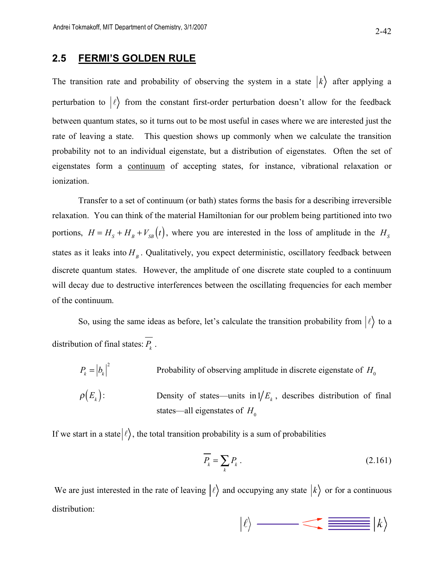## **2.5 FERMI'S GOLDEN RULE**

The transition rate and probability of observing the system in a state  $|k\rangle$  after applying a perturbation to  $|\ell\rangle$  from the constant first-order perturbation doesn't allow for the feedback between quantum states, so it turns out to be most useful in cases where we are interested just the rate of leaving a state. This question shows up commonly when we calculate the transition probability not to an individual eigenstate, but a distribution of eigenstates. Often the set of eigenstates form a continuum of accepting states, for instance, vibrational relaxation or ionization.

Transfer to a set of continuum (or bath) states forms the basis for a describing irreversible relaxation. You can think of the material Hamiltonian for our problem being partitioned into two portions,  $H = H_s + H_b + V_{SB}(t)$ , where you are interested in the loss of amplitude in the  $H_s$ states as it leaks into  $H_B$ . Qualitatively, you expect deterministic, oscillatory feedback between discrete quantum states. However, the amplitude of one discrete state coupled to a continuum will decay due to destructive interferences between the oscillating frequencies for each member of the continuum.

So, using the same ideas as before, let's calculate the transition probability from  $\ket{\ell}$  to a distribution of final states:  $\overline{P_k}$ .

 $P_k = |b_k|^2$ Probability of observing amplitude in discrete eigenstate of  $H_0$  $\rho(E_{k})$ : Density of states—units in  $1/E_k$ , describes distribution of final states—all eigenstates of  $H_0$ 

If we start in a state  $|\ell\rangle$ , the total transition probability is a sum of probabilities

$$
\overline{P_k} = \sum_k P_k \,. \tag{2.161}
$$

We are just interested in the rate of leaving  $|\ell\rangle$  and occupying any state  $|k\rangle$  or for a continuous distribution:

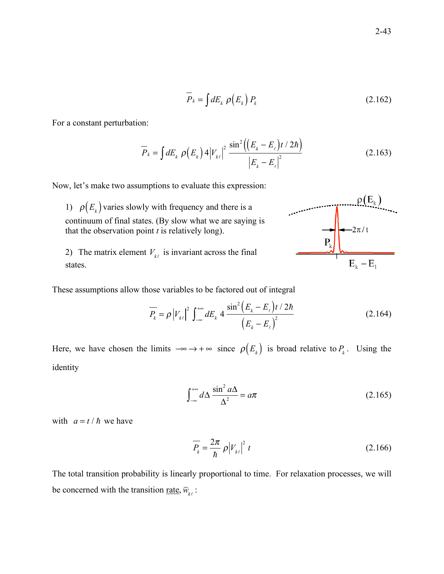$$
\overline{P}_k = \int dE_k \, \rho(E_k) \, P_k \tag{2.162}
$$

For a constant perturbation:

$$
\overline{P}_{k} = \int dE_{k} \, \rho(E_{k}) \, 4|V_{k\ell}|^{2} \, \frac{\sin^{2}((E_{k} - E_{\ell})t/2\hbar)}{|E_{k} - E_{\ell}|^{2}} \tag{2.163}
$$

 $\lambda$ 

 $\mathcal{L} = \mathcal{L}$ 

Now, let's make two assumptions to evaluate this expression:

1)  $\rho(E_k)$  varies slowly with frequency and there is a continuum of final states. (By slow what we are saying is that the observation point *t* is relatively long).

2) The matrix element  $V_{k\ell}$  is invariant across the final states.

These assumptions allow those variables to be factored out of integral

$$
\overline{P_k} = \rho |V_{k\ell}|^2 \int_{-\infty}^{+\infty} dE_k \, 4 \, \frac{\sin^2 (E_k - E_\ell) t / 2\hbar}{(E_k - E_\ell)^2} \tag{2.164}
$$

Here, we have chosen the limits  $-\infty \to +\infty$  since  $\rho(E_k)$  is broad relative to  $P_k$ . Using the identity

$$
\int_{-\infty}^{+\infty} d\Delta \frac{\sin^2 a\Delta}{\Delta^2} = a\pi
$$
 (2.165)

with  $a = t / \hbar$  we have

$$
\overline{P_k} = \frac{2\pi}{\hbar} \rho |V_{k\ell}|^2 t \tag{2.166}
$$

The total transition probability is linearly proportional to time. For relaxation processes, we will be concerned with the transition <u>rate</u>,  $\overline{w}_{k\ell}$ :

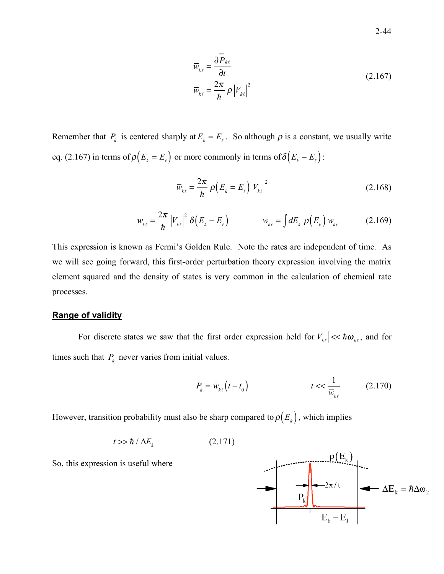$$
\overline{w}_{k\ell} = \frac{\partial \overline{P}_{k\ell}}{\partial t} \n\overline{w}_{k\ell} = \frac{2\pi}{\hbar} \rho |V_{k\ell}|^2
$$
\n(2.167)

Remember that  $P_k$  is centered sharply at  $E_k = E_k$ . So although  $\rho$  is a constant, we usually write eq. (2.167) in terms of  $\rho(E_k = E_\ell)$  or more commonly in terms of  $\delta(E_k - E_\ell)$ :

$$
\overline{w}_{k\ell} = \frac{2\pi}{\hbar} \rho \left( E_k = E_\ell \right) \left| V_{k\ell} \right|^2 \tag{2.168}
$$

$$
w_{k\ell} = \frac{2\pi}{\hbar} |V_{k\ell}|^2 \delta(E_k - E_\ell) \qquad \qquad \overline{w}_{k\ell} = \int dE_k \, \rho(E_k) \, w_{k\ell} \qquad (2.169)
$$

This expression is known as Fermi's Golden Rule. Note the rates are independent of time. As we will see going forward, this first-order perturbation theory expression involving the matrix element squared and the density of states is very common in the calculation of chemical rate processes.

## **Range of validity**

For discrete states we saw that the first order expression held for  $|V_{k\ell}| \ll \hbar \omega_{k\ell}$ , and for times such that  $P_k$  never varies from initial values.

$$
P_k = \overline{w}_{k\ell} \left( t - t_0 \right) \qquad \qquad t << \frac{1}{\overline{w}_{k\ell}} \qquad (2.170)
$$

However, transition probability must also be sharp compared to  $\rho(E_k)$ , which implies

$$
t \gg \hbar / \Delta E_k \tag{2.171}
$$

So, this expression is useful where